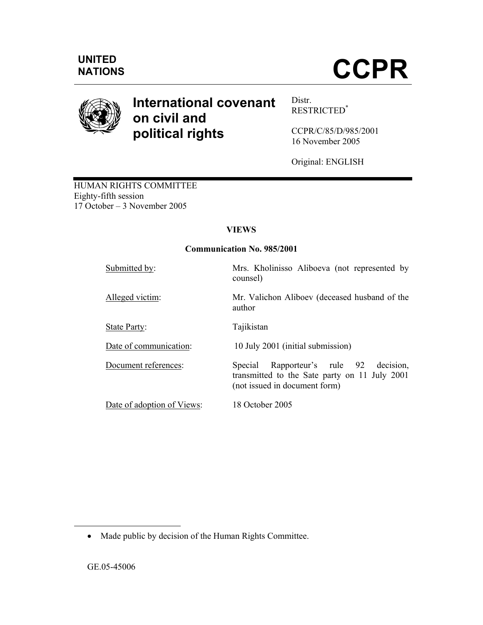

# **International covenant on civil and political rights**

Distr. RESTRICTED\*

CCPR/C/85/D/985/2001 16 November 2005

Original: ENGLISH

HUMAN RIGHTS COMMITTEE Eighty-fifth session 17 October – 3 November 2005

# **VIEWS**

# **Communication No. 985/2001**

| Submitted by:              | Mrs. Kholinisso Aliboeva (not represented by<br>counsel)                                                                       |
|----------------------------|--------------------------------------------------------------------------------------------------------------------------------|
| Alleged victim:            | Mr. Valichon Aliboev (deceased husband of the<br>author                                                                        |
| State Party:               | Tajikistan                                                                                                                     |
| Date of communication:     | 10 July 2001 (initial submission)                                                                                              |
| Document references:       | Rapporteur's rule 92<br>Special<br>decision.<br>transmitted to the Sate party on 11 July 2001<br>(not issued in document form) |
| Date of adoption of Views: | 18 October 2005                                                                                                                |

-

<sup>•</sup> Made public by decision of the Human Rights Committee.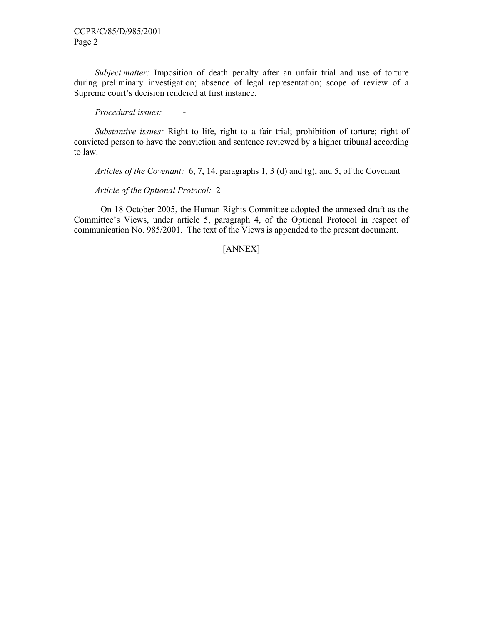*Subject matter:* Imposition of death penalty after an unfair trial and use of torture during preliminary investigation; absence of legal representation; scope of review of a Supreme court's decision rendered at first instance.

*Procedural issues:* -

*Substantive issues:* Right to life, right to a fair trial; prohibition of torture; right of convicted person to have the conviction and sentence reviewed by a higher tribunal according to law.

*Articles of the Covenant:* 6, 7, 14, paragraphs 1, 3 (d) and (g), and 5, of the Covenant

*Article of the Optional Protocol:* 2

 On 18 October 2005, the Human Rights Committee adopted the annexed draft as the Committee's Views, under article 5, paragraph 4, of the Optional Protocol in respect of communication No. 985/2001. The text of the Views is appended to the present document.

# [ANNEX]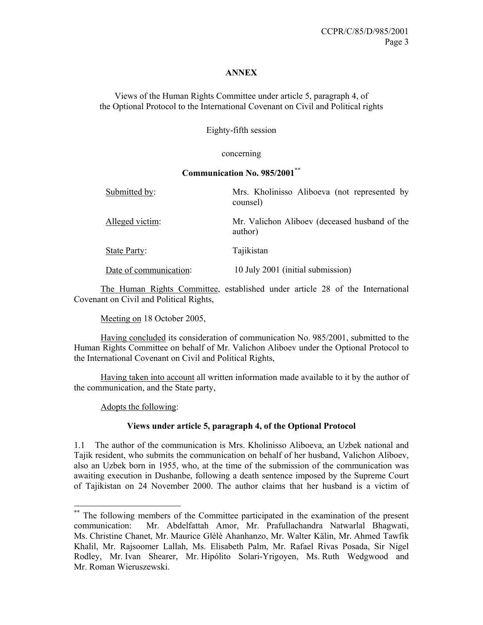### **ANNEX**

Views of the Human Rights Committee under article 5, paragraph 4, of the Optional Protocol to the International Covenant on Civil and Political rights

Eighty-fifth session

### concerning

### **Communication No. 985/2001\*\***

| Submitted by:          | Mrs. Kholinisso Aliboeva (not represented by<br>counsel) |
|------------------------|----------------------------------------------------------|
| Alleged victim:        | Mr. Valichon Aliboev (deceased husband of the<br>author) |
| State Party:           | Tajikistan                                               |
| Date of communication: | 10 July 2001 (initial submission)                        |

 The Human Rights Committee, established under article 28 of the International Covenant on Civil and Political Rights,

Meeting on 18 October 2005,

 Having concluded its consideration of communication No. 985/2001, submitted to the Human Rights Committee on behalf of Mr. Valichon Aliboev under the Optional Protocol to the International Covenant on Civil and Political Rights,

 Having taken into account all written information made available to it by the author of the communication, and the State party,

Adopts the following:

-

# **Views under article 5, paragraph 4, of the Optional Protocol**

1.1 The author of the communication is Mrs. Kholinisso Aliboeva, an Uzbek national and Tajik resident, who submits the communication on behalf of her husband, Valichon Aliboev, also an Uzbek born in 1955, who, at the time of the submission of the communication was awaiting execution in Dushanbe, following a death sentence imposed by the Supreme Court of Tajikistan on 24 November 2000. The author claims that her husband is a victim of

<sup>\*\*</sup> The following members of the Committee participated in the examination of the present communication: Mr. Abdelfattah Amor, Mr. Prafullachandra Natwarlal Bhagwati, Ms. Christine Chanet, Mr. Maurice Glèlè Ahanhanzo, Mr. Walter Kälin, Mr. Ahmed Tawfik Khalil, Mr. Rajsoomer Lallah, Ms. Elisabeth Palm, Mr. Rafael Rivas Posada, Sir Nigel Rodley, Mr. Ivan Shearer, Mr. Hipólito Solari-Yrigoyen, Ms. Ruth Wedgwood and Mr. Roman Wieruszewski.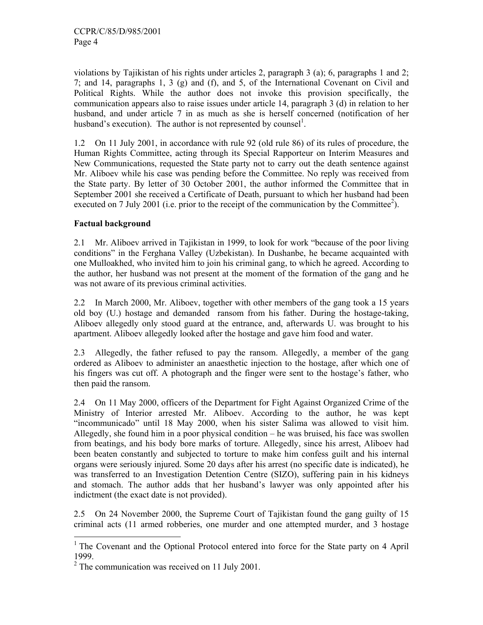violations by Tajikistan of his rights under articles 2, paragraph 3 (a); 6, paragraphs 1 and 2; 7; and 14, paragraphs 1, 3 (g) and (f), and 5, of the International Covenant on Civil and Political Rights. While the author does not invoke this provision specifically, the communication appears also to raise issues under article 14, paragraph 3 (d) in relation to her husband, and under article 7 in as much as she is herself concerned (notification of her husband's execution). The author is not represented by counsel<sup>1</sup>.

1.2 On 11 July 2001, in accordance with rule 92 (old rule 86) of its rules of procedure, the Human Rights Committee, acting through its Special Rapporteur on Interim Measures and New Communications, requested the State party not to carry out the death sentence against Mr. Aliboev while his case was pending before the Committee. No reply was received from the State party. By letter of 30 October 2001, the author informed the Committee that in September 2001 she received a Certificate of Death, pursuant to which her husband had been executed on 7 July 2001 (i.e. prior to the receipt of the communication by the Committee<sup>2</sup>).

# **Factual background**

2.1 Mr. Aliboev arrived in Tajikistan in 1999, to look for work "because of the poor living conditions" in the Ferghana Valley (Uzbekistan). In Dushanbe, he became acquainted with one Mulloakhed, who invited him to join his criminal gang, to which he agreed. According to the author, her husband was not present at the moment of the formation of the gang and he was not aware of its previous criminal activities.

2.2 In March 2000, Mr. Aliboev, together with other members of the gang took a 15 years old boy (U.) hostage and demanded ransom from his father. During the hostage-taking, Aliboev allegedly only stood guard at the entrance, and, afterwards U. was brought to his apartment. Aliboev allegedly looked after the hostage and gave him food and water.

2.3 Allegedly, the father refused to pay the ransom. Allegedly, a member of the gang ordered as Aliboev to administer an anaesthetic injection to the hostage, after which one of his fingers was cut off. A photograph and the finger were sent to the hostage's father, who then paid the ransom.

2.4 On 11 May 2000, officers of the Department for Fight Against Organized Crime of the Ministry of Interior arrested Mr. Aliboev. According to the author, he was kept "incommunicado" until 18 May 2000, when his sister Salima was allowed to visit him. Allegedly, she found him in a poor physical condition – he was bruised, his face was swollen from beatings, and his body bore marks of torture. Allegedly, since his arrest, Aliboev had been beaten constantly and subjected to torture to make him confess guilt and his internal organs were seriously injured. Some 20 days after his arrest (no specific date is indicated), he was transferred to an Investigation Detention Centre (SIZO), suffering pain in his kidneys and stomach. The author adds that her husband's lawyer was only appointed after his indictment (the exact date is not provided).

2.5 On 24 November 2000, the Supreme Court of Tajikistan found the gang guilty of 15 criminal acts (11 armed robberies, one murder and one attempted murder, and 3 hostage

<sup>&</sup>lt;sup>1</sup> The Covenant and the Optional Protocol entered into force for the State party on 4 April 1999.

 $2^2$  The communication was received on 11 July 2001.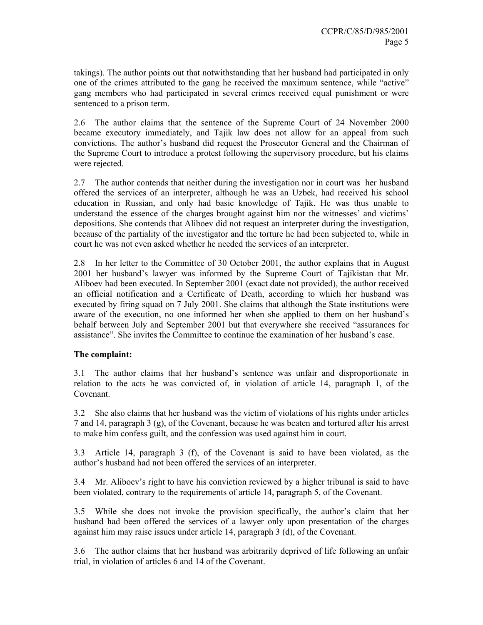takings). The author points out that notwithstanding that her husband had participated in only one of the crimes attributed to the gang he received the maximum sentence, while "active" gang members who had participated in several crimes received equal punishment or were sentenced to a prison term.

2.6 The author claims that the sentence of the Supreme Court of 24 November 2000 became executory immediately, and Tajik law does not allow for an appeal from such convictions. The author's husband did request the Prosecutor General and the Chairman of the Supreme Court to introduce a protest following the supervisory procedure, but his claims were rejected.

2.7 The author contends that neither during the investigation nor in court was her husband offered the services of an interpreter, although he was an Uzbek, had received his school education in Russian, and only had basic knowledge of Tajik. He was thus unable to understand the essence of the charges brought against him nor the witnesses' and victims' depositions. She contends that Aliboev did not request an interpreter during the investigation, because of the partiality of the investigator and the torture he had been subjected to, while in court he was not even asked whether he needed the services of an interpreter.

2.8 In her letter to the Committee of 30 October 2001, the author explains that in August 2001 her husband's lawyer was informed by the Supreme Court of Tajikistan that Mr. Aliboev had been executed. In September 2001 (exact date not provided), the author received an official notification and a Certificate of Death, according to which her husband was executed by firing squad on 7 July 2001. She claims that although the State institutions were aware of the execution, no one informed her when she applied to them on her husband's behalf between July and September 2001 but that everywhere she received "assurances for assistance". She invites the Committee to continue the examination of her husband's case.

# **The complaint:**

3.1 The author claims that her husband's sentence was unfair and disproportionate in relation to the acts he was convicted of, in violation of article 14, paragraph 1, of the Covenant.

3.2 She also claims that her husband was the victim of violations of his rights under articles 7 and 14, paragraph 3 (g), of the Covenant, because he was beaten and tortured after his arrest to make him confess guilt, and the confession was used against him in court.

3.3 Article 14, paragraph 3 (f), of the Covenant is said to have been violated, as the author's husband had not been offered the services of an interpreter.

3.4 Mr. Aliboev's right to have his conviction reviewed by a higher tribunal is said to have been violated, contrary to the requirements of article 14, paragraph 5, of the Covenant.

3.5 While she does not invoke the provision specifically, the author's claim that her husband had been offered the services of a lawyer only upon presentation of the charges against him may raise issues under article 14, paragraph 3 (d), of the Covenant.

3.6 The author claims that her husband was arbitrarily deprived of life following an unfair trial, in violation of articles 6 and 14 of the Covenant.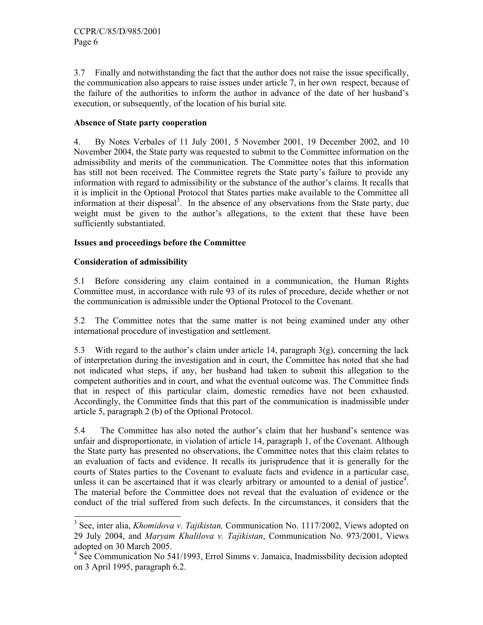3.7 Finally and notwithstanding the fact that the author does not raise the issue specifically, the communication also appears to raise issues under article 7, in her own respect, because of the failure of the authorities to inform the author in advance of the date of her husband's execution, or subsequently, of the location of his burial site.

### **Absence of State party cooperation**

4. By Notes Verbales of 11 July 2001, 5 November 2001, 19 December 2002, and 10 November 2004, the State party was requested to submit to the Committee information on the admissibility and merits of the communication. The Committee notes that this information has still not been received. The Committee regrets the State party's failure to provide any information with regard to admissibility or the substance of the author's claims. It recalls that it is implicit in the Optional Protocol that States parties make available to the Committee all information at their disposal<sup>3</sup>. In the absence of any observations from the State party, due weight must be given to the author's allegations, to the extent that these have been sufficiently substantiated.

# **Issues and proceedings before the Committee**

### **Consideration of admissibility**

5.1 Before considering any claim contained in a communication, the Human Rights Committee must, in accordance with rule 93 of its rules of procedure, decide whether or not the communication is admissible under the Optional Protocol to the Covenant.

5.2 The Committee notes that the same matter is not being examined under any other international procedure of investigation and settlement.

5.3 With regard to the author's claim under article 14, paragraph  $3(g)$ , concerning the lack of interpretation during the investigation and in court, the Committee has noted that she had not indicated what steps, if any, her husband had taken to submit this allegation to the competent authorities and in court, and what the eventual outcome was. The Committee finds that in respect of this particular claim, domestic remedies have not been exhausted. Accordingly, the Committee finds that this part of the communication is inadmissible under article 5, paragraph 2 (b) of the Optional Protocol.

5.4 The Committee has also noted the author's claim that her husband's sentence was unfair and disproportionate, in violation of article 14, paragraph 1, of the Covenant. Although the State party has presented no observations, the Committee notes that this claim relates to an evaluation of facts and evidence. It recalls its jurisprudence that it is generally for the courts of States parties to the Covenant to evaluate facts and evidence in a particular case, unless it can be ascertained that it was clearly arbitrary or amounted to a denial of justice<sup>4</sup>. The material before the Committee does not reveal that the evaluation of evidence or the conduct of the trial suffered from such defects. In the circumstances, it considers that the

 3 See, inter alia, *Khomidova v. Tajikistan,* Communication No. 1117/2002, Views adopted on 29 July 2004, and *Maryam Khalilova v. Tajikistan*, Communication No. 973/2001, Views adopted on 30 March 2005.

<sup>&</sup>lt;sup>4</sup> See Communication No 541/1993, Errol Simms v. Jamaica, Inadmissbility decision adopted on 3 April 1995, paragraph 6.2.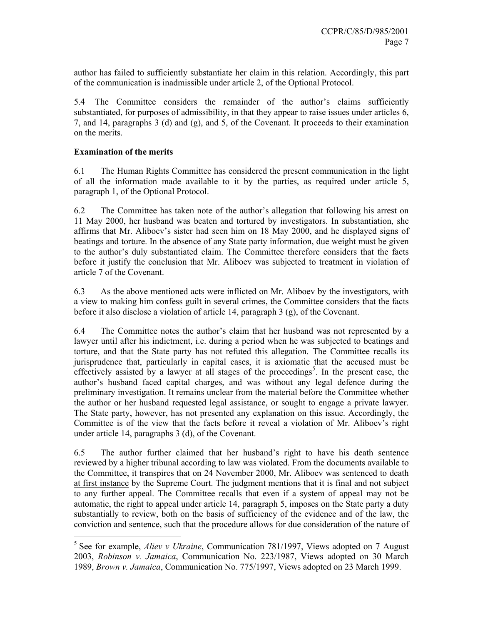author has failed to sufficiently substantiate her claim in this relation. Accordingly, this part of the communication is inadmissible under article 2, of the Optional Protocol.

5.4 The Committee considers the remainder of the author's claims sufficiently substantiated, for purposes of admissibility, in that they appear to raise issues under articles 6, 7, and 14, paragraphs 3 (d) and (g), and 5, of the Covenant. It proceeds to their examination on the merits.

## **Examination of the merits**

6.1 The Human Rights Committee has considered the present communication in the light of all the information made available to it by the parties, as required under article 5, paragraph 1, of the Optional Protocol.

6.2 The Committee has taken note of the author's allegation that following his arrest on 11 May 2000, her husband was beaten and tortured by investigators. In substantiation, she affirms that Mr. Aliboev's sister had seen him on 18 May 2000, and he displayed signs of beatings and torture. In the absence of any State party information, due weight must be given to the author's duly substantiated claim. The Committee therefore considers that the facts before it justify the conclusion that Mr. Aliboev was subjected to treatment in violation of article 7 of the Covenant.

6.3 As the above mentioned acts were inflicted on Mr. Aliboev by the investigators, with a view to making him confess guilt in several crimes, the Committee considers that the facts before it also disclose a violation of article 14, paragraph 3 (g), of the Covenant.

6.4 The Committee notes the author's claim that her husband was not represented by a lawyer until after his indictment, i.e. during a period when he was subjected to beatings and torture, and that the State party has not refuted this allegation. The Committee recalls its jurisprudence that, particularly in capital cases, it is axiomatic that the accused must be effectively assisted by a lawyer at all stages of the proceedings<sup>5</sup>. In the present case, the author's husband faced capital charges, and was without any legal defence during the preliminary investigation. It remains unclear from the material before the Committee whether the author or her husband requested legal assistance, or sought to engage a private lawyer. The State party, however, has not presented any explanation on this issue. Accordingly, the Committee is of the view that the facts before it reveal a violation of Mr. Aliboev's right under article 14, paragraphs 3 (d), of the Covenant.

6.5 The author further claimed that her husband's right to have his death sentence reviewed by a higher tribunal according to law was violated. From the documents available to the Committee, it transpires that on 24 November 2000, Mr. Aliboev was sentenced to death at first instance by the Supreme Court. The judgment mentions that it is final and not subject to any further appeal. The Committee recalls that even if a system of appeal may not be automatic, the right to appeal under article 14, paragraph 5, imposes on the State party a duty substantially to review, both on the basis of sufficiency of the evidence and of the law, the conviction and sentence, such that the procedure allows for due consideration of the nature of

 5 See for example, *Aliev v Ukraine*, Communication 781/1997, Views adopted on 7 August 2003, *Robinson v. Jamaica*, Communication No. 223/1987, Views adopted on 30 March 1989, *Brown v. Jamaica*, Communication No. 775/1997, Views adopted on 23 March 1999.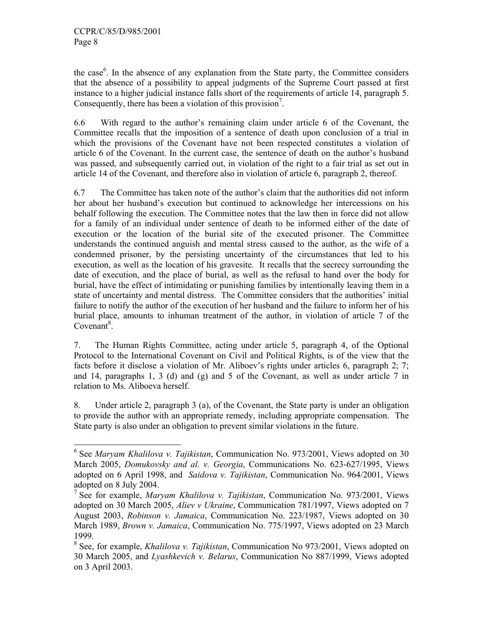the case<sup>6</sup>. In the absence of any explanation from the State party, the Committee considers that the absence of a possibility to appeal judgments of the Supreme Court passed at first instance to a higher judicial instance falls short of the requirements of article 14, paragraph 5. Consequently, there has been a violation of this provision<sup>7</sup>.

6.6 With regard to the author's remaining claim under article 6 of the Covenant, the Committee recalls that the imposition of a sentence of death upon conclusion of a trial in which the provisions of the Covenant have not been respected constitutes a violation of article 6 of the Covenant. In the current case, the sentence of death on the author's husband was passed, and subsequently carried out, in violation of the right to a fair trial as set out in article 14 of the Covenant, and therefore also in violation of article 6, paragraph 2, thereof.

6.7 The Committee has taken note of the author's claim that the authorities did not inform her about her husband's execution but continued to acknowledge her intercessions on his behalf following the execution. The Committee notes that the law then in force did not allow for a family of an individual under sentence of death to be informed either of the date of execution or the location of the burial site of the executed prisoner. The Committee understands the continued anguish and mental stress caused to the author, as the wife of a condemned prisoner, by the persisting uncertainty of the circumstances that led to his execution, as well as the location of his gravesite. It recalls that the secrecy surrounding the date of execution, and the place of burial, as well as the refusal to hand over the body for burial, have the effect of intimidating or punishing families by intentionally leaving them in a state of uncertainty and mental distress. The Committee considers that the authorities' initial failure to notify the author of the execution of her husband and the failure to inform her of his burial place, amounts to inhuman treatment of the author, in violation of article 7 of the  $Covenant<sup>8</sup>$ .

7. The Human Rights Committee, acting under article 5, paragraph 4, of the Optional Protocol to the International Covenant on Civil and Political Rights, is of the view that the facts before it disclose a violation of Mr. Aliboev's rights under articles 6, paragraph 2; 7; and 14, paragraphs 1, 3 (d) and  $(g)$  and 5 of the Covenant, as well as under article 7 in relation to Ms. Aliboeva herself.

8. Under article 2, paragraph 3 (a), of the Covenant, the State party is under an obligation to provide the author with an appropriate remedy, including appropriate compensation. The State party is also under an obligation to prevent similar violations in the future.

 6 See *Maryam Khalilova v. Tajikistan*, Communication No. 973/2001, Views adopted on 30 March 2005, *Domukovsky and al. v. Georgia*, Communications No. 623-627/1995, Views adopted on 6 April 1998, and *Saidova v. Tajikistan*, Communication No. 964/2001, Views adopted on 8 July 2004.

<sup>7</sup> See for example, *Maryam Khalilova v. Tajikistan*, Communication No. 973/2001, Views adopted on 30 March 2005, *Aliev v Ukraine*, Communication 781/1997, Views adopted on 7 August 2003, *Robinson v. Jamaica*, Communication No. 223/1987, Views adopted on 30 March 1989, *Brown v. Jamaica*, Communication No. 775/1997, Views adopted on 23 March 1999.

<sup>8</sup> See, for example, *Khalilova v. Tajikistan*, Communication No 973/2001, Views adopted on 30 March 2005, and *Lyashkevich v. Belarus*, Communication No 887/1999, Views adopted on 3 April 2003.